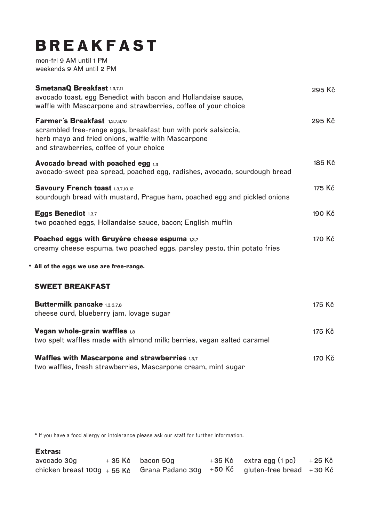## **BREAKFAST**

mon-fri 9 AM until 1 PM weekends 9 AM until 2 PM

| <b>SmetanaQ Breakfast 1.3,7,11</b><br>avocado toast, egg Benedict with bacon and Hollandaise sauce,<br>waffle with Mascarpone and strawberries, coffee of your choice                           | 295 Kč |
|-------------------------------------------------------------------------------------------------------------------------------------------------------------------------------------------------|--------|
| Farmer's Breakfast 1,3,7,8,10<br>scrambled free-range eggs, breakfast bun with pork salsiccia,<br>herb mayo and fried onions, waffle with Mascarpone<br>and strawberries, coffee of your choice | 295 Kč |
| Avocado bread with poached egg $_{1,3}$<br>avocado-sweet pea spread, poached egg, radishes, avocado, sourdough bread                                                                            | 185 Kč |
| Savoury French toast 1,3,7,10,12<br>sourdough bread with mustard, Prague ham, poached egg and pickled onions                                                                                    | 175 Kč |
| Eggs Benedict 1,3,7<br>two poached eggs, Hollandaise sauce, bacon; English muffin                                                                                                               | 190 Kč |
| Poached eggs with Gruyère cheese espuma 1,3,7<br>creamy cheese espuma, two poached eggs, parsley pesto, thin potato fries                                                                       | 170 Kč |
| • All of the eggs we use are free-range.                                                                                                                                                        |        |
| <b>SWEET BREAKFAST</b>                                                                                                                                                                          |        |
| <b>Buttermilk pancake 1,3,6,7,8</b><br>cheese curd, blueberry jam, lovage sugar                                                                                                                 | 175 Kč |
| Vegan whole-grain waffles 1,8<br>two spelt waffles made with almond milk; berries, vegan salted caramel                                                                                         | 175 Kč |
| Waffles with Mascarpone and strawberries 1,3,7<br>two waffles, fresh strawberries, Mascarpone cream, mint sugar                                                                                 | 170 Kč |

\* If you have a food allergy or intolerance please ask our staff for further information.

## **Extras:**

| avocado 30g | $+35$ Kč bacon 50g                                                             | $+35$ Kč extra egg $(1 pc)$ $+25$ Kč |  |
|-------------|--------------------------------------------------------------------------------|--------------------------------------|--|
|             | chicken breast 100g + 55 Kč Grana Padano 30g + 50 Kč gluten-free bread + 30 Kč |                                      |  |